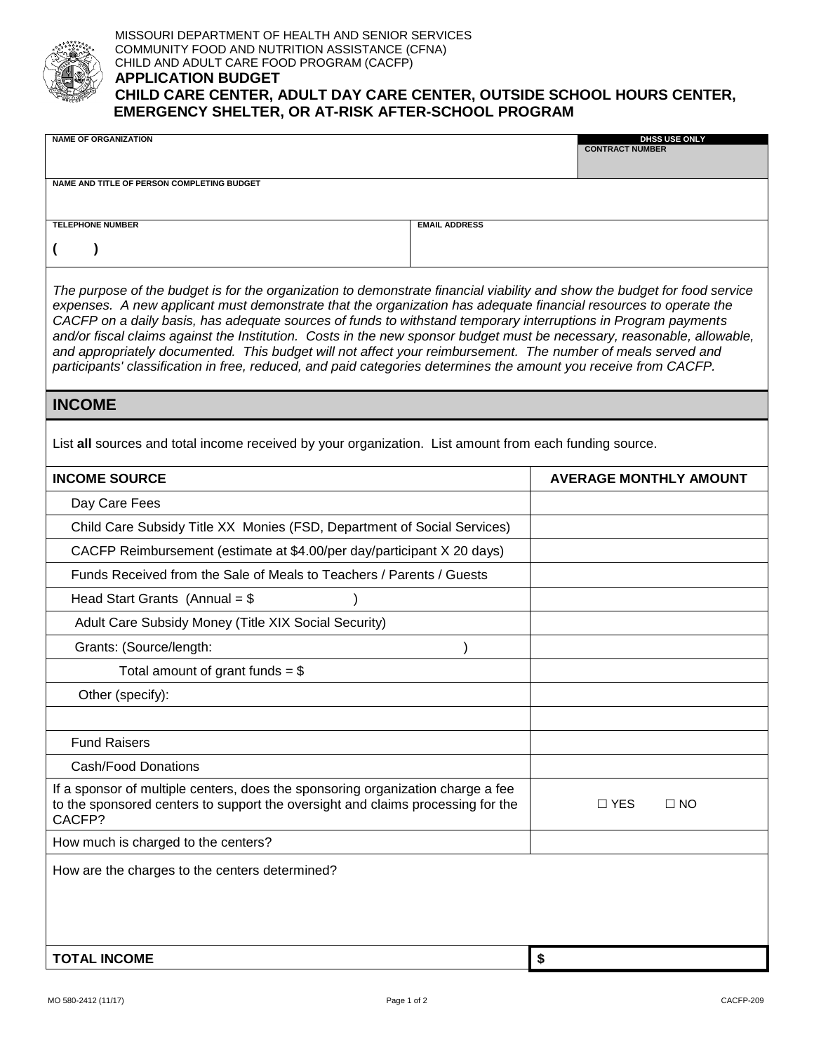

| <b>NAME OF ORGANIZATION</b>                                                                                                                                                                                                                                                                                                                                                                                                                                                                                                                                                                                                                                                                                                    |                      | DHSS USE ONLY<br><b>CONTRACT NUMBER</b> |  |  |  |  |  |
|--------------------------------------------------------------------------------------------------------------------------------------------------------------------------------------------------------------------------------------------------------------------------------------------------------------------------------------------------------------------------------------------------------------------------------------------------------------------------------------------------------------------------------------------------------------------------------------------------------------------------------------------------------------------------------------------------------------------------------|----------------------|-----------------------------------------|--|--|--|--|--|
|                                                                                                                                                                                                                                                                                                                                                                                                                                                                                                                                                                                                                                                                                                                                |                      |                                         |  |  |  |  |  |
| NAME AND TITLE OF PERSON COMPLETING BUDGET                                                                                                                                                                                                                                                                                                                                                                                                                                                                                                                                                                                                                                                                                     |                      |                                         |  |  |  |  |  |
| <b>TELEPHONE NUMBER</b>                                                                                                                                                                                                                                                                                                                                                                                                                                                                                                                                                                                                                                                                                                        | <b>EMAIL ADDRESS</b> |                                         |  |  |  |  |  |
| $\lambda$<br>€                                                                                                                                                                                                                                                                                                                                                                                                                                                                                                                                                                                                                                                                                                                 |                      |                                         |  |  |  |  |  |
|                                                                                                                                                                                                                                                                                                                                                                                                                                                                                                                                                                                                                                                                                                                                |                      |                                         |  |  |  |  |  |
| The purpose of the budget is for the organization to demonstrate financial viability and show the budget for food service<br>expenses. A new applicant must demonstrate that the organization has adequate financial resources to operate the<br>CACFP on a daily basis, has adequate sources of funds to withstand temporary interruptions in Program payments<br>and/or fiscal claims against the Institution. Costs in the new sponsor budget must be necessary, reasonable, allowable,<br>and appropriately documented. This budget will not affect your reimbursement. The number of meals served and<br>participants' classification in free, reduced, and paid categories determines the amount you receive from CACFP. |                      |                                         |  |  |  |  |  |
| <b>INCOME</b>                                                                                                                                                                                                                                                                                                                                                                                                                                                                                                                                                                                                                                                                                                                  |                      |                                         |  |  |  |  |  |
| List all sources and total income received by your organization. List amount from each funding source.                                                                                                                                                                                                                                                                                                                                                                                                                                                                                                                                                                                                                         |                      |                                         |  |  |  |  |  |
| <b>INCOME SOURCE</b>                                                                                                                                                                                                                                                                                                                                                                                                                                                                                                                                                                                                                                                                                                           |                      | <b>AVERAGE MONTHLY AMOUNT</b>           |  |  |  |  |  |
| Day Care Fees                                                                                                                                                                                                                                                                                                                                                                                                                                                                                                                                                                                                                                                                                                                  |                      |                                         |  |  |  |  |  |
| Child Care Subsidy Title XX Monies (FSD, Department of Social Services)                                                                                                                                                                                                                                                                                                                                                                                                                                                                                                                                                                                                                                                        |                      |                                         |  |  |  |  |  |
| CACFP Reimbursement (estimate at \$4.00/per day/participant X 20 days)                                                                                                                                                                                                                                                                                                                                                                                                                                                                                                                                                                                                                                                         |                      |                                         |  |  |  |  |  |
| Funds Received from the Sale of Meals to Teachers / Parents / Guests                                                                                                                                                                                                                                                                                                                                                                                                                                                                                                                                                                                                                                                           |                      |                                         |  |  |  |  |  |
| Head Start Grants (Annual = $$$                                                                                                                                                                                                                                                                                                                                                                                                                                                                                                                                                                                                                                                                                                |                      |                                         |  |  |  |  |  |
| Adult Care Subsidy Money (Title XIX Social Security)                                                                                                                                                                                                                                                                                                                                                                                                                                                                                                                                                                                                                                                                           |                      |                                         |  |  |  |  |  |
| Grants: (Source/length:                                                                                                                                                                                                                                                                                                                                                                                                                                                                                                                                                                                                                                                                                                        |                      |                                         |  |  |  |  |  |
| Total amount of grant funds = $$$                                                                                                                                                                                                                                                                                                                                                                                                                                                                                                                                                                                                                                                                                              |                      |                                         |  |  |  |  |  |
| Other (specify):                                                                                                                                                                                                                                                                                                                                                                                                                                                                                                                                                                                                                                                                                                               |                      |                                         |  |  |  |  |  |
|                                                                                                                                                                                                                                                                                                                                                                                                                                                                                                                                                                                                                                                                                                                                |                      |                                         |  |  |  |  |  |
| <b>Fund Raisers</b>                                                                                                                                                                                                                                                                                                                                                                                                                                                                                                                                                                                                                                                                                                            |                      |                                         |  |  |  |  |  |
| <b>Cash/Food Donations</b>                                                                                                                                                                                                                                                                                                                                                                                                                                                                                                                                                                                                                                                                                                     |                      |                                         |  |  |  |  |  |
| If a sponsor of multiple centers, does the sponsoring organization charge a fee<br>to the sponsored centers to support the oversight and claims processing for the<br>CACFP?                                                                                                                                                                                                                                                                                                                                                                                                                                                                                                                                                   |                      | $\Box$ YES<br>$\square$ NO              |  |  |  |  |  |
| How much is charged to the centers?                                                                                                                                                                                                                                                                                                                                                                                                                                                                                                                                                                                                                                                                                            |                      |                                         |  |  |  |  |  |
| How are the charges to the centers determined?                                                                                                                                                                                                                                                                                                                                                                                                                                                                                                                                                                                                                                                                                 |                      |                                         |  |  |  |  |  |
|                                                                                                                                                                                                                                                                                                                                                                                                                                                                                                                                                                                                                                                                                                                                |                      |                                         |  |  |  |  |  |
|                                                                                                                                                                                                                                                                                                                                                                                                                                                                                                                                                                                                                                                                                                                                |                      |                                         |  |  |  |  |  |
|                                                                                                                                                                                                                                                                                                                                                                                                                                                                                                                                                                                                                                                                                                                                |                      |                                         |  |  |  |  |  |
| <b>TOTAL INCOME</b>                                                                                                                                                                                                                                                                                                                                                                                                                                                                                                                                                                                                                                                                                                            |                      | \$                                      |  |  |  |  |  |